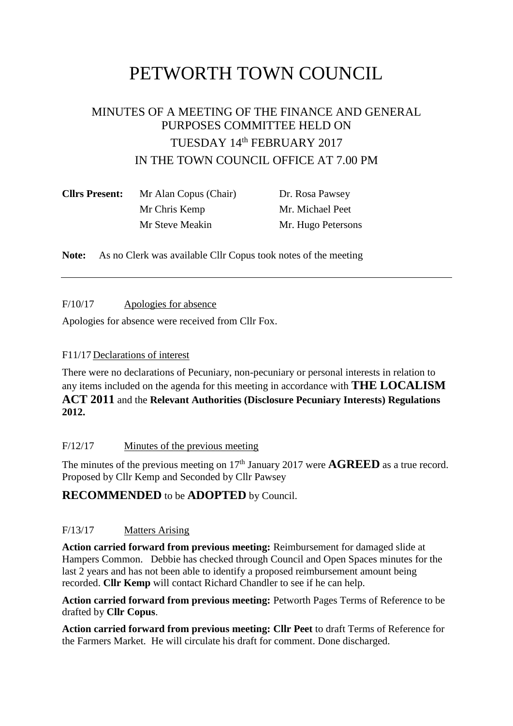# PETWORTH TOWN COUNCIL

## MINUTES OF A MEETING OF THE FINANCE AND GENERAL PURPOSES COMMITTEE HELD ON TUESDAY 14th FEBRUARY 2017 IN THE TOWN COUNCIL OFFICE AT 7.00 PM

| <b>Cllrs Present:</b> | Mr Alan Copus (Chair) | Dr. Rosa Pawsey    |  |  |
|-----------------------|-----------------------|--------------------|--|--|
|                       | Mr Chris Kemp         | Mr. Michael Peet   |  |  |
|                       | Mr Steve Meakin       | Mr. Hugo Petersons |  |  |

**Note:** As no Clerk was available Cllr Copus took notes of the meeting

F/10/17 Apologies for absence

Apologies for absence were received from Cllr Fox.

#### F11/17 Declarations of interest

There were no declarations of Pecuniary, non-pecuniary or personal interests in relation to any items included on the agenda for this meeting in accordance with **THE LOCALISM ACT 2011** and the **Relevant Authorities (Disclosure Pecuniary Interests) Regulations 2012.**

#### F/12/17 Minutes of the previous meeting

The minutes of the previous meeting on 17<sup>th</sup> January 2017 were **AGREED** as a true record. Proposed by Cllr Kemp and Seconded by Cllr Pawsey

### **RECOMMENDED** to be **ADOPTED** by Council.

#### F/13/17 Matters Arising

**Action carried forward from previous meeting:** Reimbursement for damaged slide at Hampers Common. Debbie has checked through Council and Open Spaces minutes for the last 2 years and has not been able to identify a proposed reimbursement amount being recorded. **Cllr Kemp** will contact Richard Chandler to see if he can help.

**Action carried forward from previous meeting:** Petworth Pages Terms of Reference to be drafted by **Cllr Copus**.

**Action carried forward from previous meeting: Cllr Peet** to draft Terms of Reference for the Farmers Market. He will circulate his draft for comment. Done discharged.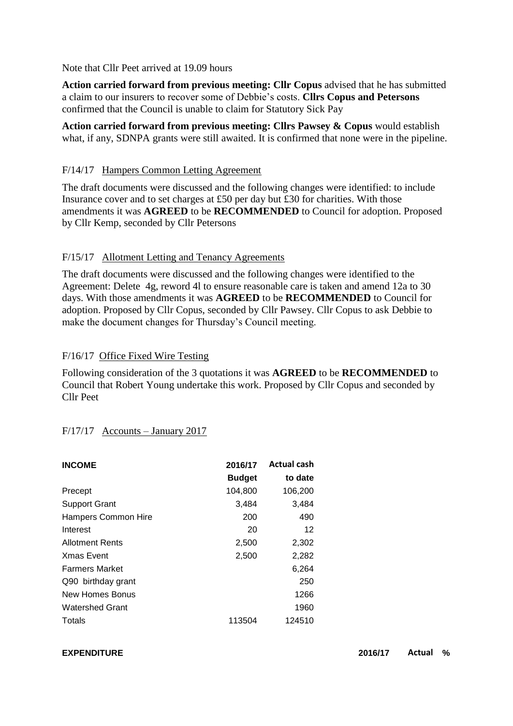Note that Cllr Peet arrived at 19.09 hours

**Action carried forward from previous meeting: Cllr Copus** advised that he has submitted a claim to our insurers to recover some of Debbie's costs. **Cllrs Copus and Petersons** confirmed that the Council is unable to claim for Statutory Sick Pay

**Action carried forward from previous meeting: Cllrs Pawsey & Copus** would establish what, if any, SDNPA grants were still awaited. It is confirmed that none were in the pipeline.

#### F/14/17 Hampers Common Letting Agreement

The draft documents were discussed and the following changes were identified: to include Insurance cover and to set charges at £50 per day but £30 for charities. With those amendments it was **AGREED** to be **RECOMMENDED** to Council for adoption. Proposed by Cllr Kemp, seconded by Cllr Petersons

#### F/15/17 Allotment Letting and Tenancy Agreements

The draft documents were discussed and the following changes were identified to the Agreement: Delete 4g, reword 4l to ensure reasonable care is taken and amend 12a to 30 days. With those amendments it was **AGREED** to be **RECOMMENDED** to Council for adoption. Proposed by Cllr Copus, seconded by Cllr Pawsey. Cllr Copus to ask Debbie to make the document changes for Thursday's Council meeting.

#### F/16/17 Office Fixed Wire Testing

Following consideration of the 3 quotations it was **AGREED** to be **RECOMMENDED** to Council that Robert Young undertake this work. Proposed by Cllr Copus and seconded by Cllr Peet

#### F/17/17 Accounts – January 2017

| <b>INCOME</b>          | 2016/17       | <b>Actual cash</b> |
|------------------------|---------------|--------------------|
|                        | <b>Budget</b> | to date            |
| Precept                | 104,800       | 106,200            |
| <b>Support Grant</b>   | 3,484         | 3,484              |
| Hampers Common Hire    | 200           | 490                |
| Interest               | 20            | 12                 |
| <b>Allotment Rents</b> | 2,500         | 2,302              |
| <b>Xmas Event</b>      | 2,500         | 2,282              |
| <b>Farmers Market</b>  |               | 6,264              |
| Q90 birthday grant     |               | 250                |
| New Homes Bonus        |               | 1266               |
| <b>Watershed Grant</b> |               | 1960               |
| Totals                 | 113504        | 124510             |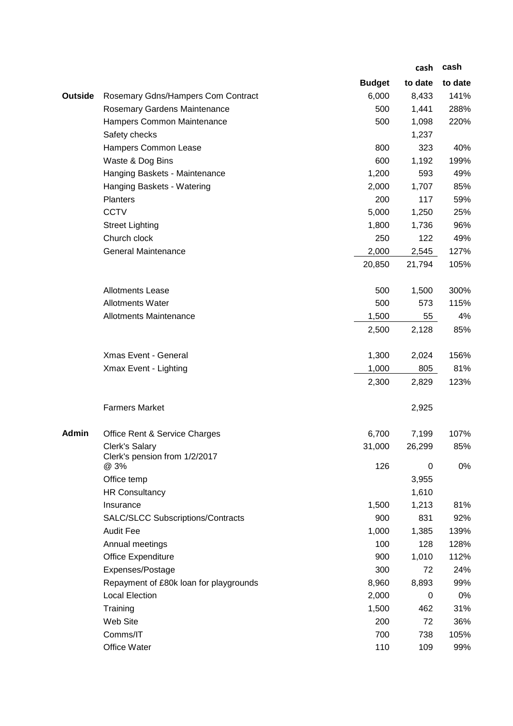|                |                                          |               | cash    | cash    |
|----------------|------------------------------------------|---------------|---------|---------|
|                |                                          | <b>Budget</b> | to date | to date |
| <b>Outside</b> | Rosemary Gdns/Hampers Com Contract       | 6,000         | 8,433   | 141%    |
|                | Rosemary Gardens Maintenance             | 500           | 1,441   | 288%    |
|                | Hampers Common Maintenance               | 500           | 1,098   | 220%    |
|                | Safety checks                            |               | 1,237   |         |
|                | Hampers Common Lease                     | 800           | 323     | 40%     |
|                | Waste & Dog Bins                         | 600           | 1,192   | 199%    |
|                | Hanging Baskets - Maintenance            | 1,200         | 593     | 49%     |
|                | Hanging Baskets - Watering               | 2,000         | 1,707   | 85%     |
|                | Planters                                 | 200           | 117     | 59%     |
|                | <b>CCTV</b>                              | 5,000         | 1,250   | 25%     |
|                | <b>Street Lighting</b>                   | 1,800         | 1,736   | 96%     |
|                | Church clock                             | 250           | 122     | 49%     |
|                | <b>General Maintenance</b>               | 2,000         | 2,545   | 127%    |
|                |                                          | 20,850        | 21,794  | 105%    |
|                | <b>Allotments Lease</b>                  | 500           | 1,500   | 300%    |
|                | <b>Allotments Water</b>                  | 500           | 573     | 115%    |
|                | <b>Allotments Maintenance</b>            | 1,500         | 55      | 4%      |
|                |                                          | 2,500         | 2,128   | 85%     |
|                | Xmas Event - General                     | 1,300         | 2,024   | 156%    |
|                | Xmax Event - Lighting                    | 1,000         | 805     | 81%     |
|                |                                          | 2,300         | 2,829   | 123%    |
|                | <b>Farmers Market</b>                    |               | 2,925   |         |
| <b>Admin</b>   | Office Rent & Service Charges            | 6,700         | 7,199   | 107%    |
|                | Clerk's Salary                           | 31,000        | 26,299  | 85%     |
|                | Clerk's pension from 1/2/2017<br>@ 3%    | 126           | 0       | 0%      |
|                | Office temp                              |               | 3,955   |         |
|                | <b>HR Consultancy</b>                    |               | 1,610   |         |
|                | Insurance                                | 1,500         | 1,213   | 81%     |
|                | <b>SALC/SLCC Subscriptions/Contracts</b> | 900           | 831     | 92%     |
|                | <b>Audit Fee</b>                         | 1,000         | 1,385   | 139%    |
|                | Annual meetings                          | 100           | 128     | 128%    |
|                | Office Expenditure                       | 900           | 1,010   | 112%    |
|                | Expenses/Postage                         | 300           | 72      | 24%     |
|                | Repayment of £80k loan for playgrounds   | 8,960         | 8,893   | 99%     |
|                | <b>Local Election</b>                    | 2,000         | 0       | 0%      |
|                | Training                                 | 1,500         | 462     | 31%     |
|                | Web Site                                 | 200           | 72      | 36%     |
|                | Comms/IT                                 | 700           | 738     | 105%    |
|                | Office Water                             | 110           | 109     | 99%     |
|                |                                          |               |         |         |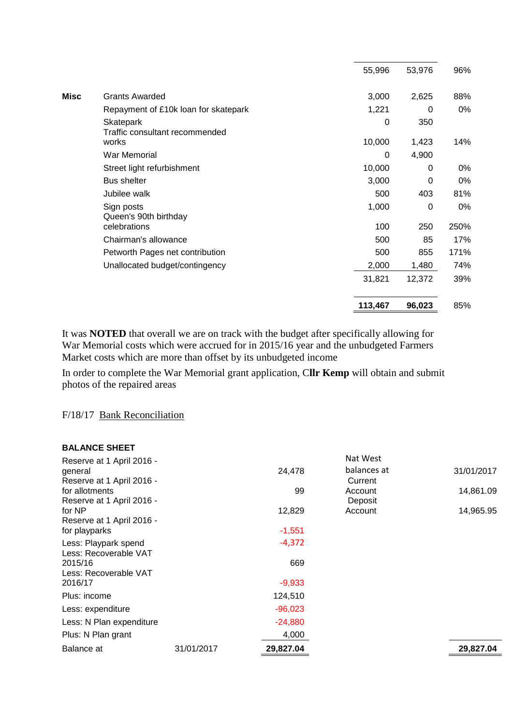|                                             | 55,996  | 53,976 | 96%  |
|---------------------------------------------|---------|--------|------|
| <b>Misc</b><br><b>Grants Awarded</b>        | 3,000   | 2,625  | 88%  |
| Repayment of £10k loan for skatepark        | 1,221   | 0      | 0%   |
| Skatepark<br>Traffic consultant recommended | 0       | 350    |      |
| works                                       | 10,000  | 1,423  | 14%  |
| War Memorial                                | 0       | 4,900  |      |
| Street light refurbishment                  | 10,000  | 0      | 0%   |
| <b>Bus shelter</b>                          | 3,000   | 0      | 0%   |
| Jubilee walk                                | 500     | 403    | 81%  |
| Sign posts<br>Queen's 90th birthday         | 1,000   | 0      | 0%   |
| celebrations                                | 100     | 250    | 250% |
| Chairman's allowance                        | 500     | 85     | 17%  |
| Petworth Pages net contribution             | 500     | 855    | 171% |
| Unallocated budget/contingency              | 2,000   | 1,480  | 74%  |
|                                             | 31,821  | 12,372 | 39%  |
|                                             | 113,467 | 96,023 | 85%  |

It was **NOTED** that overall we are on track with the budget after specifically allowing for War Memorial costs which were accrued for in 2015/16 year and the unbudgeted Farmers Market costs which are more than offset by its unbudgeted income

In order to complete the War Memorial grant application, C**llr Kemp** will obtain and submit photos of the repaired areas

F/18/17 Bank Reconciliation

#### **BALANCE SHEET**

| Reserve at 1 April 2016 - |            |           | Nat West    |            |
|---------------------------|------------|-----------|-------------|------------|
| general                   |            | 24,478    | balances at | 31/01/2017 |
| Reserve at 1 April 2016 - |            |           | Current     |            |
| for allotments            |            | 99        | Account     | 14,861.09  |
| Reserve at 1 April 2016 - |            |           | Deposit     |            |
| for NP                    |            | 12,829    | Account     | 14,965.95  |
| Reserve at 1 April 2016 - |            |           |             |            |
| for playparks             |            | $-1,551$  |             |            |
| Less: Playpark spend      |            | $-4,372$  |             |            |
| Less: Recoverable VAT     |            |           |             |            |
| 2015/16                   |            | 669       |             |            |
| Less: Recoverable VAT     |            |           |             |            |
| 2016/17                   |            | $-9,933$  |             |            |
| Plus: income              |            | 124,510   |             |            |
| Less: expenditure         |            | $-96,023$ |             |            |
| Less: N Plan expenditure  |            | $-24,880$ |             |            |
| Plus: N Plan grant        |            | 4,000     |             |            |
| Balance at                | 31/01/2017 | 29,827.04 |             | 29,827.04  |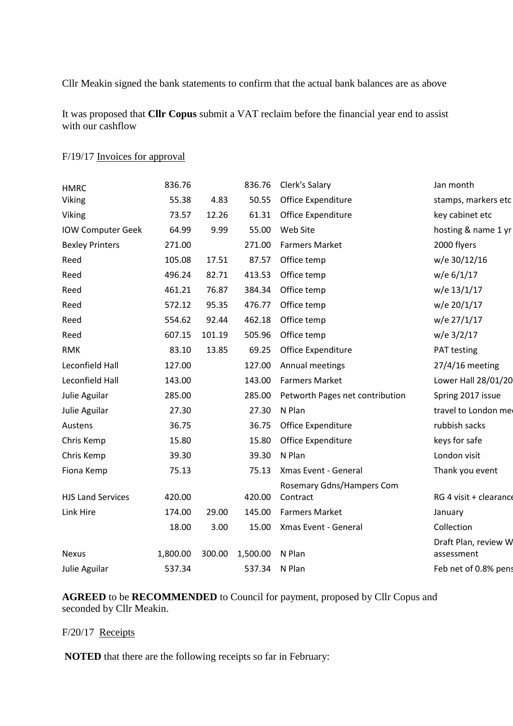Cllr Meakin signed the bank statements to confirm that the actual bank balances are as above

It was proposed that **Cllr Copus** submit a VAT reclaim before the financial year end to assist with our cashflow

| <b>HMRC</b>              | 836.76   |        | 836.76   | Clerk's Salary                  | Jan month                          |
|--------------------------|----------|--------|----------|---------------------------------|------------------------------------|
| Viking                   | 55.38    | 4.83   | 50.55    | Office Expenditure              | stamps, markers etc                |
| Viking                   | 73.57    | 12.26  | 61.31    | Office Expenditure              | key cabinet etc                    |
| <b>IOW Computer Geek</b> | 64.99    | 9.99   | 55.00    | Web Site                        | hosting & name 1 yr                |
| <b>Bexley Printers</b>   | 271.00   |        | 271.00   | <b>Farmers Market</b>           | 2000 flyers                        |
| Reed                     | 105.08   | 17.51  | 87.57    | Office temp                     | w/e 30/12/16                       |
| Reed                     | 496.24   | 82.71  | 413.53   | Office temp                     | w/e 6/1/17                         |
| Reed                     | 461.21   | 76.87  | 384.34   | Office temp                     | w/e 13/1/17                        |
| Reed                     | 572.12   | 95.35  | 476.77   | Office temp                     | w/e 20/1/17                        |
| Reed                     | 554.62   | 92.44  | 462.18   | Office temp                     | w/e 27/1/17                        |
| Reed                     | 607.15   | 101.19 | 505.96   | Office temp                     | w/e 3/2/17                         |
| <b>RMK</b>               | 83.10    | 13.85  | 69.25    | Office Expenditure              | PAT testing                        |
| Leconfield Hall          | 127.00   |        | 127.00   | Annual meetings                 | $27/4/16$ meeting                  |
| Leconfield Hall          | 143.00   |        | 143.00   | <b>Farmers Market</b>           | Lower Hall 28/01/20                |
| Julie Aguilar            | 285.00   |        | 285.00   | Petworth Pages net contribution | Spring 2017 issue                  |
| Julie Aguilar            | 27.30    |        | 27.30    | N Plan                          | travel to London me                |
| Austens                  | 36.75    |        | 36.75    | Office Expenditure              | rubbish sacks                      |
| Chris Kemp               | 15.80    |        | 15.80    | Office Expenditure              | keys for safe                      |
| Chris Kemp               | 39.30    |        | 39.30    | N Plan                          | London visit                       |
| Fiona Kemp               | 75.13    |        | 75.13    | Xmas Event - General            | Thank you event                    |
|                          |          |        |          | Rosemary Gdns/Hampers Com       |                                    |
| <b>HJS Land Services</b> | 420.00   |        | 420.00   | Contract                        | RG 4 visit + clearance             |
| Link Hire                | 174.00   | 29.00  | 145.00   | <b>Farmers Market</b>           | January                            |
|                          | 18.00    | 3.00   | 15.00    | Xmas Event - General            | Collection                         |
| <b>Nexus</b>             | 1,800.00 | 300.00 | 1,500.00 | N Plan                          | Draft Plan, review W<br>assessment |
| Julie Aguilar            | 537.34   |        | 537.34   | N Plan                          | Feb net of 0.8% pens               |

#### F/19/17 Invoices for approval

**AGREED** to be **RECOMMENDED** to Council for payment, proposed by Cllr Copus and seconded by Cllr Meakin.

#### F/20/17 Receipts

**NOTED** that there are the following receipts so far in February: